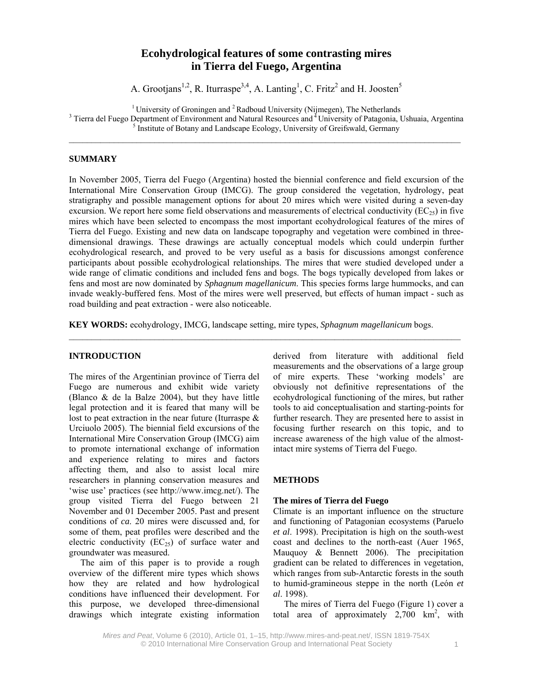# **Ecohydrological features of some contrasting mires in Tierra del Fuego, Argentina**

A. Grootjans<sup>1,2</sup>, R. Iturraspe<sup>3,4</sup>, A. Lanting<sup>1</sup>, C. Fritz<sup>2</sup> and H. Joosten<sup>5</sup>

<sup>1</sup> University of Groningen and  $2$  Radboud University (Nijmegen), The Netherlands

<sup>3</sup> Tierra del Fuego Department of Environment and Natural Resources and <sup>4</sup> University of Patagonia, Ushuaia, Argentina

<sup>5</sup> Institute of Botany and Landscape Ecology, University of Greifswald, Germany

# **SUMMARY**

In November 2005, Tierra del Fuego (Argentina) hosted the biennial conference and field excursion of the International Mire Conservation Group (IMCG). The group considered the vegetation, hydrology, peat stratigraphy and possible management options for about 20 mires which were visited during a seven-day excursion. We report here some field observations and measurements of electrical conductivity ( $EC_{25}$ ) in five mires which have been selected to encompass the most important ecohydrological features of the mires of Tierra del Fuego. Existing and new data on landscape topography and vegetation were combined in threedimensional drawings. These drawings are actually conceptual models which could underpin further ecohydrological research, and proved to be very useful as a basis for discussions amongst conference participants about possible ecohydrological relationships. The mires that were studied developed under a wide range of climatic conditions and included fens and bogs. The bogs typically developed from lakes or fens and most are now dominated by *Sphagnum magellanicum*. This species forms large hummocks, and can invade weakly-buffered fens. Most of the mires were well preserved, but effects of human impact - such as road building and peat extraction - were also noticeable.

**KEY WORDS:** ecohydrology, IMCG, landscape setting, mire types, *Sphagnum magellanicum* bogs.

 $\mathcal{L}_\mathcal{L} = \{ \mathcal{L}_\mathcal{L} = \{ \mathcal{L}_\mathcal{L} = \{ \mathcal{L}_\mathcal{L} = \{ \mathcal{L}_\mathcal{L} = \{ \mathcal{L}_\mathcal{L} = \{ \mathcal{L}_\mathcal{L} = \{ \mathcal{L}_\mathcal{L} = \{ \mathcal{L}_\mathcal{L} = \{ \mathcal{L}_\mathcal{L} = \{ \mathcal{L}_\mathcal{L} = \{ \mathcal{L}_\mathcal{L} = \{ \mathcal{L}_\mathcal{L} = \{ \mathcal{L}_\mathcal{L} = \{ \mathcal{L}_\mathcal{$ 

# **INTRODUCTION**

The mires of the Argentinian province of Tierra del Fuego are numerous and exhibit wide variety (Blanco  $\&$  de la Balze 2004), but they have little legal protection and it is feared that many will be lost to peat extraction in the near future (Iturraspe & Urciuolo 2005). The biennial field excursions of the International Mire Conservation Group (IMCG) aim to promote international exchange of information and experience relating to mires and factors affecting them, and also to assist local mire researchers in planning conservation measures and 'wise use' practices (see http://www.imcg.net/). The group visited Tierra del Fuego between 21 November and 01 December 2005. Past and present conditions of *ca*. 20 mires were discussed and, for some of them, peat profiles were described and the electric conductivity  $(EC_{25})$  of surface water and groundwater was measured.

The aim of this paper is to provide a rough overview of the different mire types which shows how they are related and how hydrological conditions have influenced their development. For this purpose, we developed three-dimensional drawings which integrate existing information derived from literature with additional field measurements and the observations of a large group of mire experts. These 'working models' are obviously not definitive representations of the ecohydrological functioning of the mires, but rather tools to aid conceptualisation and starting-points for further research. They are presented here to assist in focusing further research on this topic, and to increase awareness of the high value of the almostintact mire systems of Tierra del Fuego.

# **METHODS**

# **The mires of Tierra del Fuego**

Climate is an important influence on the structure and functioning of Patagonian ecosystems (Paruelo *et al*. 1998). Precipitation is high on the south-west coast and declines to the north-east (Auer 1965, Mauquoy & Bennett 2006). The precipitation gradient can be related to differences in vegetation, which ranges from sub-Antarctic forests in the south to humid-gramineous steppe in the north (León *et al*. 1998).

The mires of Tierra del Fuego (Figure 1) cover a total area of approximately  $2,700 \text{ km}^2$ , with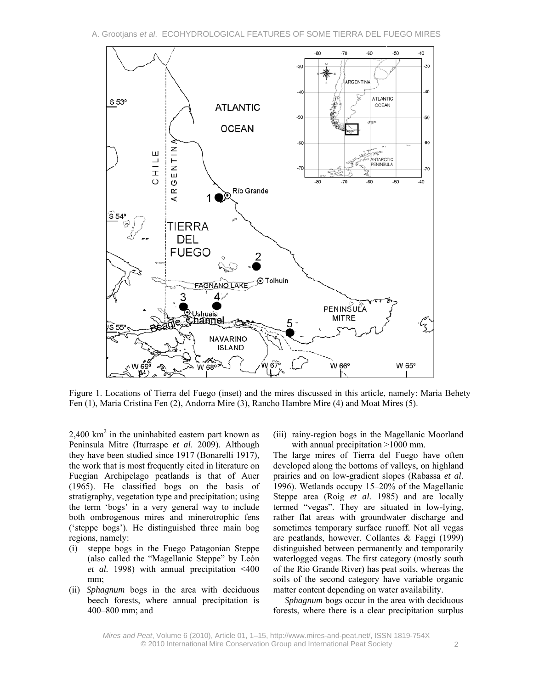

Figure 1. Locations of Tierra del Fuego (inset) and the mires discussed in this article, namely: Maria Behety Fen (1), Maria Cristina Fen (2), Andorra Mire (3), Rancho Hambre Mire (4) and Moat Mires (5).

 $2,400$  km<sup>2</sup> in the uninhabited eastern part known as Peninsula Mitre (Iturraspe *et al*. 2009). Although they have been studied since 1917 (Bonarelli 1917), the work that is most frequently cited in literature on Fuegian Archipelago peatlands is that of Auer (1965). He classified bogs on the basis of stratigraphy, vegetation type and precipitation; using the term 'bogs' in a very general way to include both ombrogenous mires and minerotrophic fens ('steppe bogs'). He distinguished three main bog regions, namely:

- (i) steppe bogs in the Fuego Patagonian Steppe (also called the "Magellanic Steppe" by León *et al.* 1998) with annual precipitation <400 mm;
- (ii) *Sphagnum* bogs in the area with deciduous beech forests, where annual precipitation is 400–800 mm; and

(iii) rainy-region bogs in the Magellanic Moorland with annual precipitation >1000 mm.

The large mires of Tierra del Fuego have often developed along the bottoms of valleys, on highland prairies and on low-gradient slopes (Rabassa *et al*. 1996). Wetlands occupy 15–20% of the Magellanic Steppe area (Roig *et al.* 1985) and are locally termed "vegas". They are situated in low-lying, rather flat areas with groundwater discharge and sometimes temporary surface runoff. Not all vegas are peatlands, however. Collantes & Faggi (1999) distinguished between permanently and temporarily waterlogged vegas. The first category (mostly south of the Rio Grande River) has peat soils, whereas the soils of the second category have variable organic matter content depending on water availability.

*Sphagnum* bogs occur in the area with deciduous forests, where there is a clear precipitation surplus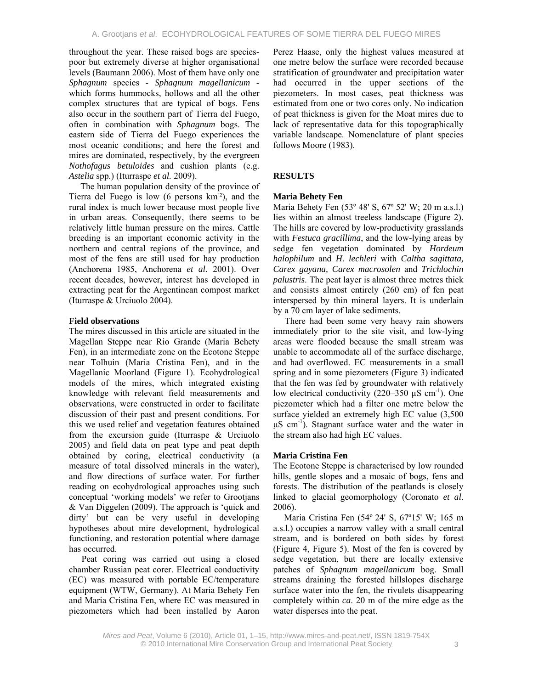throughout the year. These raised bogs are speciespoor but extremely diverse at higher organisational levels (Baumann 2006). Most of them have only one *Sphagnum* species - *Sphagnum magellanicum* which forms hummocks, hollows and all the other complex structures that are typical of bogs. Fens also occur in the southern part of Tierra del Fuego, often in combination with *Sphagnum* bogs. The eastern side of Tierra del Fuego experiences the most oceanic conditions; and here the forest and mires are dominated, respectively, by the evergreen *Nothofagus betuloides* and cushion plants (e.g. *Astelia* spp.) (Iturraspe *et al.* 2009).

The human population density of the province of Tierra del Fuego is low (6 persons km- ²), and the rural index is much lower because most people live in urban areas. Consequently, there seems to be relatively little human pressure on the mires. Cattle breeding is an important economic activity in the northern and central regions of the province, and most of the fens are still used for hay production (Anchorena 1985, Anchorena *et al.* 2001). Over recent decades, however, interest has developed in extracting peat for the Argentinean compost market (Iturraspe & Urciuolo 2004).

# **Field observations**

The mires discussed in this article are situated in the Magellan Steppe near Rio Grande (Maria Behety Fen), in an intermediate zone on the Ecotone Steppe near Tolhuin (Maria Cristina Fen), and in the Magellanic Moorland (Figure 1). Ecohydrological models of the mires, which integrated existing knowledge with relevant field measurements and observations, were constructed in order to facilitate discussion of their past and present conditions. For this we used relief and vegetation features obtained from the excursion guide (Iturraspe & Urciuolo 2005) and field data on peat type and peat depth obtained by coring, electrical conductivity (a measure of total dissolved minerals in the water), and flow directions of surface water. For further reading on ecohydrological approaches using such conceptual 'working models' we refer to Grootjans & Van Diggelen (2009). The approach is 'quick and dirty' but can be very useful in developing hypotheses about mire development, hydrological functioning, and restoration potential where damage has occurred.

Peat coring was carried out using a closed chamber Russian peat corer. Electrical conductivity (EC) was measured with portable EC/temperature equipment (WTW, Germany). At Maria Behety Fen and Maria Cristina Fen, where EC was measured in piezometers which had been installed by Aaron Perez Haase, only the highest values measured at one metre below the surface were recorded because stratification of groundwater and precipitation water had occurred in the upper sections of the piezometers. In most cases, peat thickness was estimated from one or two cores only. No indication of peat thickness is given for the Moat mires due to lack of representative data for this topographically variable landscape. Nomenclature of plant species follows Moore (1983).

# **RESULTS**

# **Maria Behety Fen**

Maria Behety Fen (53° 48' S, 67° 52' W; 20 m a.s.l.) lies within an almost treeless landscape (Figure 2). The hills are covered by low-productivity grasslands with *Festuca gracillima*, and the low-lying areas by sedge fen vegetation dominated by *Hordeum halophilum* and *H. lechleri* with *Caltha sagittata, Carex gayana, Carex macrosolen* and *Trichlochin palustris*. The peat layer is almost three metres thick and consists almost entirely (260 cm) of fen peat interspersed by thin mineral layers. It is underlain by a 70 cm layer of lake sediments.

There had been some very heavy rain showers immediately prior to the site visit, and low-lying areas were flooded because the small stream was unable to accommodate all of the surface discharge, and had overflowed. EC measurements in a small spring and in some piezometers (Figure 3) indicated that the fen was fed by groundwater with relatively low electrical conductivity (220–350  $\mu$ S cm<sup>-1</sup>). One piezometer which had a filter one metre below the surface yielded an extremely high EC value (3,500  $\mu$ S cm<sup>-1</sup>). Stagnant surface water and the water in the stream also had high EC values.

# **Maria Cristina Fen**

The Ecotone Steppe is characterised by low rounded hills, gentle slopes and a mosaic of bogs, fens and forests. The distribution of the peatlands is closely linked to glacial geomorphology (Coronato *et al*. 2006).

Maria Cristina Fen (54º 24' S, 67º15' W; 165 m a.s.l.) occupies a narrow valley with a small central stream, and is bordered on both sides by forest (Figure 4, Figure 5). Most of the fen is covered by sedge vegetation, but there are locally extensive patches of *Sphagnum magellanicum* bog. Small streams draining the forested hillslopes discharge surface water into the fen, the rivulets disappearing completely within *ca*. 20 m of the mire edge as the water disperses into the peat.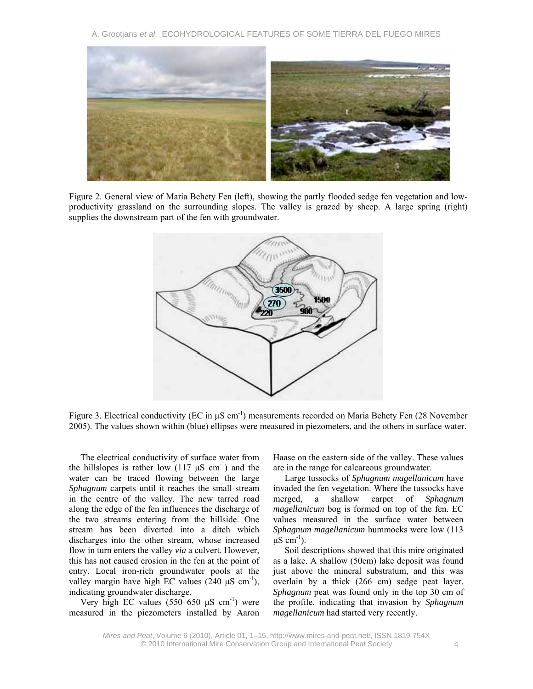A. Grootjans *et al*. ECOHYDROLOGICAL FEATURES OF SOME TIERRA DEL FUEGO MIRES



Figure 2. General view of Maria Behety Fen (left), showing the partly flooded sedge fen vegetation and lowproductivity grassland on the surrounding slopes. The valley is grazed by sheep. A large spring (right) supplies the downstream part of the fen with groundwater.



Figure 3. Electrical conductivity (EC in  $\mu$ S cm<sup>-1</sup>) measurements recorded on Maria Behety Fen (28 November 2005). The values shown within (blue) ellipses were measured in piezometers, and the others in surface water.

The electrical conductivity of surface water from the hillslopes is rather low  $(117 \text{ }\mu\text{S} \text{ cm}^{-1})$  and the water can be traced flowing between the large *Sphagnum* carpets until it reaches the small stream in the centre of the valley. The new tarred road along the edge of the fen influences the discharge of the two streams entering from the hillside. One stream has been diverted into a ditch which discharges into the other stream, whose increased flow in turn enters the valley *via* a culvert. However, this has not caused erosion in the fen at the point of entry. Local iron-rich groundwater pools at the valley margin have high EC values  $(240 \mu S \text{ cm}^{-1})$ , indicating groundwater discharge.

Very high EC values (550–650  $\mu$ S cm<sup>-1</sup>) were measured in the piezometers installed by Aaron Haase on the eastern side of the valley. These values are in the range for calcareous groundwater.

Large tussocks of *Sphagnum magellanicum* have invaded the fen vegetation. Where the tussocks have merged, a shallow carpet of *Sphagnum magellanicum* bog is formed on top of the fen. EC values measured in the surface water between *Sphagnum magellanicum* hummocks were low (113  $\mu$ S cm<sup>-1</sup>).

Soil descriptions showed that this mire originated as a lake. A shallow (50cm) lake deposit was found just above the mineral substratum, and this was overlain by a thick (266 cm) sedge peat layer. *Sphagnum* peat was found only in the top 30 cm of the profile, indicating that invasion by *Sphagnum magellanicum* had started very recently.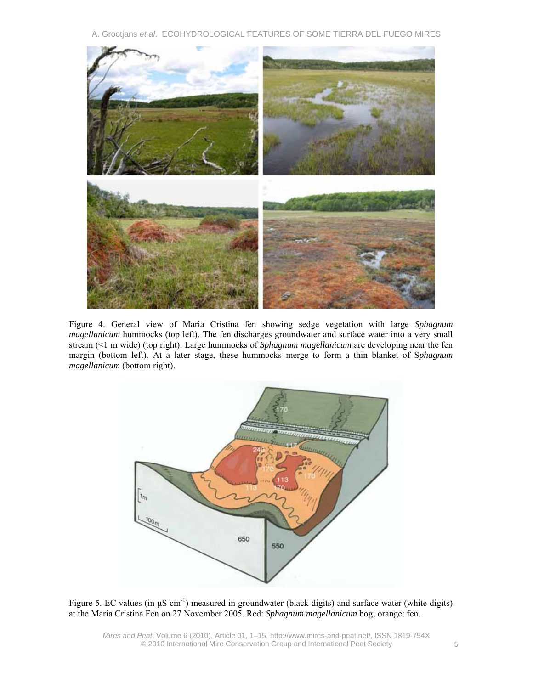A. Grootjans *et al*. ECOHYDROLOGICAL FEATURES OF SOME TIERRA DEL FUEGO MIRES



Figure 4. General view of Maria Cristina fen showing sedge vegetation with large *Sphagnum magellanicum* hummocks (top left). The fen discharges groundwater and surface water into a very small stream (<1 m wide) (top right). Large hummocks of *Sphagnum magellanicum* are developing near the fen margin (bottom left). At a later stage, these hummocks merge to form a thin blanket of S*phagnum magellanicum* (bottom right).



Figure 5. EC values (in μS cm<sup>-1</sup>) measured in groundwater (black digits) and surface water (white digits) at the Maria Cristina Fen on 27 November 2005. Red: *Sphagnum magellanicum* bog; orange: fen.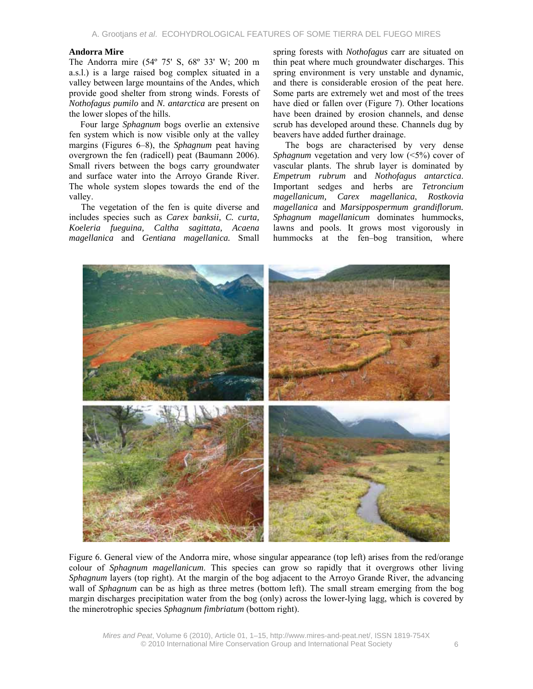#### **Andorra Mire**

The Andorra mire (54º 75' S, 68º 33' W; 200 m a.s.l.) is a large raised bog complex situated in a valley between large mountains of the Andes, which provide good shelter from strong winds. Forests of *Nothofagus pumilo* and *N. antarctica* are present on the lower slopes of the hills.

Four large *Sphagnum* bogs overlie an extensive fen system which is now visible only at the valley margins (Figures 6–8), the *Sphagnum* peat having overgrown the fen (radicell) peat (Baumann 2006). Small rivers between the bogs carry groundwater and surface water into the Arroyo Grande River. The whole system slopes towards the end of the valley.

The vegetation of the fen is quite diverse and includes species such as *Carex banksii, C. curta, Koeleria fueguina, Caltha sagittata, Acaena magellanica* and *Gentiana magellanica.* Small spring forests with *Nothofagus* carr are situated on thin peat where much groundwater discharges. This spring environment is very unstable and dynamic, and there is considerable erosion of the peat here. Some parts are extremely wet and most of the trees have died or fallen over (Figure 7). Other locations have been drained by erosion channels, and dense scrub has developed around these. Channels dug by beavers have added further drainage.

The bogs are characterised by very dense *Sphagnum* vegetation and very low (<5%) cover of vascular plants. The shrub layer is dominated by *Empetrum rubrum* and *Nothofagus antarctica*. Important sedges and herbs are *Tetroncium magellanicum, Carex magellanica*, *Rostkovia magellanica* and *Marsippospermum grandiflorum. Sphagnum magellanicum* dominates hummocks, lawns and pools. It grows most vigorously in hummocks at the fen–bog transition, where



Figure 6. General view of the Andorra mire, whose singular appearance (top left) arises from the red/orange colour of *Sphagnum magellanicum*. This species can grow so rapidly that it overgrows other living *Sphagnum* layers (top right). At the margin of the bog adjacent to the Arroyo Grande River, the advancing wall of *Sphagnum* can be as high as three metres (bottom left). The small stream emerging from the bog margin discharges precipitation water from the bog (only) across the lower-lying lagg, which is covered by the minerotrophic species *Sphagnum fimbriatum* (bottom right).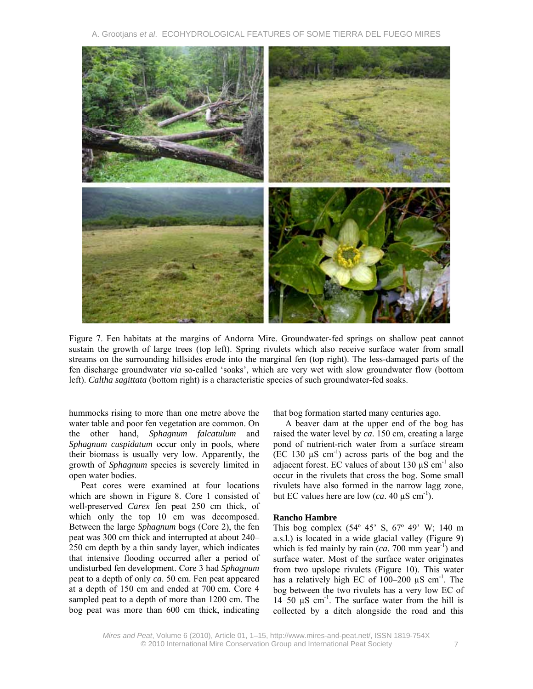A. Grootjans *et al*. ECOHYDROLOGICAL FEATURES OF SOME TIERRA DEL FUEGO MIRES



Figure 7. Fen habitats at the margins of Andorra Mire. Groundwater-fed springs on shallow peat cannot sustain the growth of large trees (top left). Spring rivulets which also receive surface water from small streams on the surrounding hillsides erode into the marginal fen (top right). The less-damaged parts of the fen discharge groundwater *via* so-called 'soaks', which are very wet with slow groundwater flow (bottom left). *Caltha sagittata* (bottom right) is a characteristic species of such groundwater-fed soaks.

hummocks rising to more than one metre above the water table and poor fen vegetation are common. On the other hand, *Sphagnum falcatulum* and *Sphagnum cuspidatum* occur only in pools, where their biomass is usually very low. Apparently, the growth of *Sphagnum* species is severely limited in open water bodies.

Peat cores were examined at four locations which are shown in Figure 8. Core 1 consisted of well-preserved *Carex* fen peat 250 cm thick, of which only the top 10 cm was decomposed. Between the large *Sphagnum* bogs (Core 2), the fen peat was 300 cm thick and interrupted at about 240– 250 cm depth by a thin sandy layer, which indicates that intensive flooding occurred after a period of undisturbed fen development. Core 3 had *Sphagnum* peat to a depth of only *ca*. 50 cm. Fen peat appeared at a depth of 150 cm and ended at 700 cm. Core 4 sampled peat to a depth of more than 1200 cm. The bog peat was more than 600 cm thick, indicating that bog formation started many centuries ago.

A beaver dam at the upper end of the bog has raised the water level by *ca*. 150 cm, creating a large pond of nutrient-rich water from a surface stream  $(EC 130 \mu S \text{ cm}^{-1})$  across parts of the bog and the adjacent forest. EC values of about  $130 \mu S \text{ cm}^{-1}$  also occur in the rivulets that cross the bog. Some small rivulets have also formed in the narrow lagg zone, but EC values here are low  $(ca. 40 \mu S cm^{-1})$ .

#### **Rancho Hambre**

This bog complex (54º 45' S, 67º 49' W; 140 m a.s.l.) is located in a wide glacial valley (Figure 9) which is fed mainly by rain  $(ca. 700$  mm year<sup>-1</sup>) and surface water. Most of the surface water originates from two upslope rivulets (Figure 10). This water has a relatively high EC of  $100-200 \mu S$  cm<sup>-1</sup>. The bog between the two rivulets has a very low EC of  $14-50 \mu S$  cm<sup>-1</sup>. The surface water from the hill is collected by a ditch alongside the road and this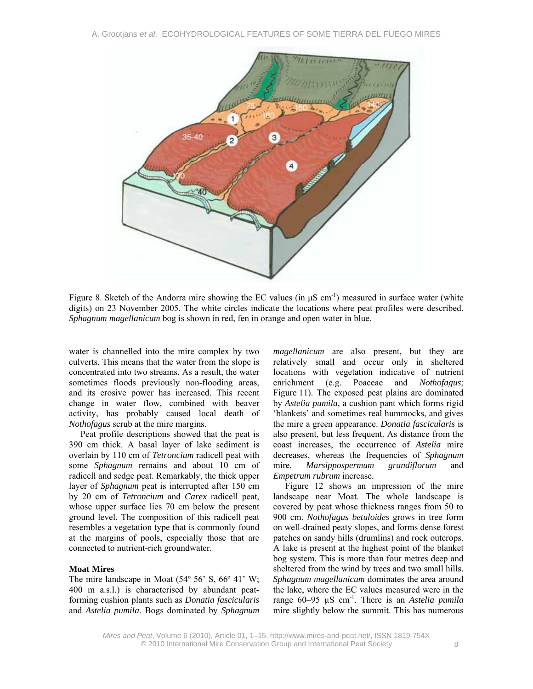

Figure 8. Sketch of the Andorra mire showing the EC values (in  $\mu$ S cm<sup>-1</sup>) measured in surface water (white digits) on 23 November 2005. The white circles indicate the locations where peat profiles were described. *Sphagnum magellanicum* bog is shown in red, fen in orange and open water in blue.

water is channelled into the mire complex by two culverts. This means that the water from the slope is concentrated into two streams. As a result, the water sometimes floods previously non-flooding areas, and its erosive power has increased. This recent change in water flow, combined with beaver activity, has probably caused local death of *Nothofagus* scrub at the mire margins.

Peat profile descriptions showed that the peat is 390 cm thick. A basal layer of lake sediment is overlain by 110 cm of *Tetroncium* radicell peat with some *Sphagnum* remains and about 10 cm of radicell and sedge peat. Remarkably, the thick upper layer of *Sphagnum* peat is interrupted after 150 cm by 20 cm of *Tetroncium* and *Carex* radicell peat, whose upper surface lies 70 cm below the present ground level. The composition of this radicell peat resembles a vegetation type that is commonly found at the margins of pools, especially those that are connected to nutrient-rich groundwater.

# **Moat Mires**

The mire landscape in Moat  $(54^{\circ} 56^{\circ} S, 66^{\circ} 41^{\circ} W;$ 400 m a.s.l.) is characterised by abundant peatforming cushion plants such as *Donatia fascicularis* and *Astelia pumila*. Bogs dominated by *Sphagnum*  *magellanicum* are also present, but they are relatively small and occur only in sheltered locations with vegetation indicative of nutrient enrichment (e.g. Poaceae and *Nothofagus*; Figure 11). The exposed peat plains are dominated by *Astelia pumila*, a cushion pant which forms rigid 'blankets' and sometimes real hummocks, and gives the mire a green appearance. *Donatia fascicularis* is also present, but less frequent. As distance from the coast increases, the occurrence of *Astelia* mire decreases, whereas the frequencies of *Sphagnum* mire, *Marsippospermum grandiflorum* and *Empetrum rubrum* increase.

Figure 12 shows an impression of the mire landscape near Moat. The whole landscape is covered by peat whose thickness ranges from 50 to 900 cm. *Nothofagus betuloides* grows in tree form on well-drained peaty slopes, and forms dense forest patches on sandy hills (drumlins) and rock outcrops. A lake is present at the highest point of the blanket bog system. This is more than four metres deep and sheltered from the wind by trees and two small hills. *Sphagnum magellanicum* dominates the area around the lake, where the EC values measured were in the range 60–95 µS cm-1. There is an *Astelia pumila* mire slightly below the summit. This has numerous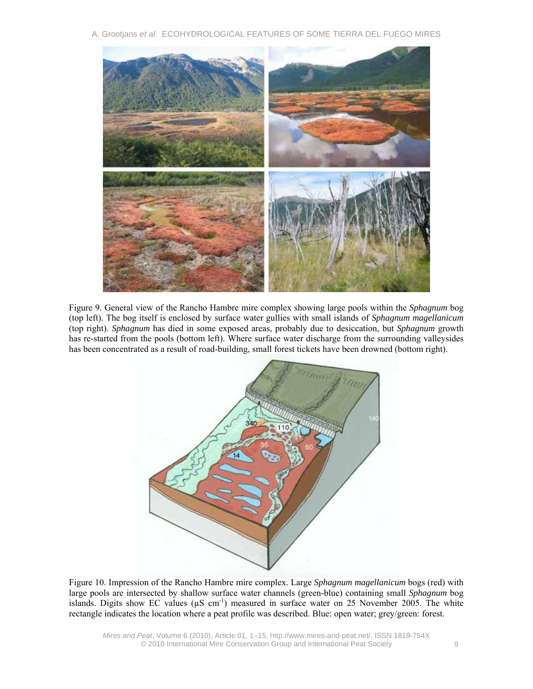A. Grootjans *et al*. ECOHYDROLOGICAL FEATURES OF SOME TIERRA DEL FUEGO MIRES



Figure 9. General view of the Rancho Hambre mire complex showing large pools within the *Sphagnum* bog (top left). The bog itself is enclosed by surface water gullies with small islands of *Sphagnum magellanicum* (top right). *Sphagnum* has died in some exposed areas, probably due to desiccation, but *Sphagnum* growth has re-started from the pools (bottom left). Where surface water discharge from the surrounding valleysides has been concentrated as a result of road-building, small forest tickets have been drowned (bottom right).



Figure 10. Impression of the Rancho Hambre mire complex. Large *Sphagnum magellanicum* bogs (red) with large pools are intersected by shallow surface water channels (green-blue) containing small *Sphagnum* bog islands. Digits show EC values ( $\mu$ S cm<sup>-1</sup>) measured in surface water on 25 November 2005. The white rectangle indicates the location where a peat profile was described. Blue: open water; grey/green: forest.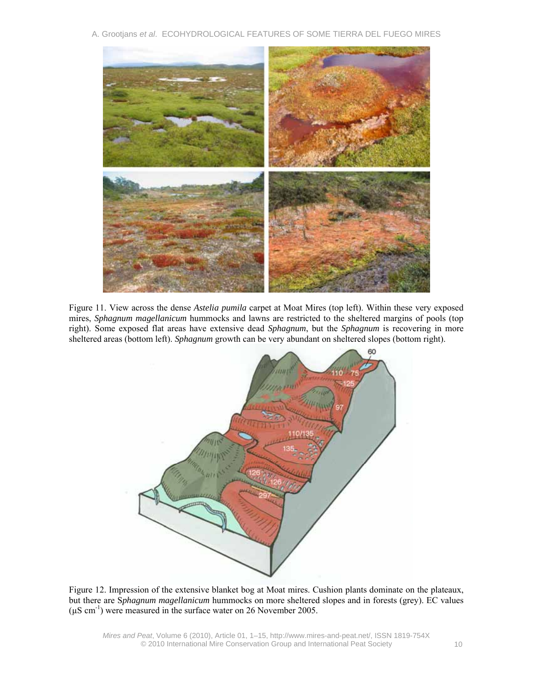A. Grootjans *et al*. ECOHYDROLOGICAL FEATURES OF SOME TIERRA DEL FUEGO MIRES



Figure 11. View across the dense *Astelia pumila* carpet at Moat Mires (top left). Within these very exposed mires, *Sphagnum magellanicum* hummocks and lawns are restricted to the sheltered margins of pools (top right). Some exposed flat areas have extensive dead *Sphagnum*, but the *Sphagnum* is recovering in more sheltered areas (bottom left). *Sphagnum* growth can be very abundant on sheltered slopes (bottom right).



Figure 12. Impression of the extensive blanket bog at Moat mires. Cushion plants dominate on the plateaux, but there are S*phagnum magellanicum* hummocks on more sheltered slopes and in forests (grey). EC values  $(\mu S \text{ cm}^{-1})$  were measured in the surface water on 26 November 2005.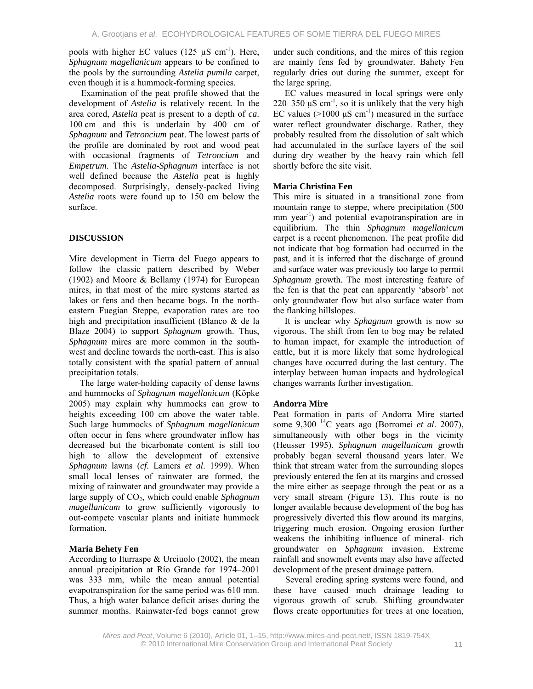pools with higher EC values  $(125 \mu S \text{ cm}^{-1})$ . Here, *Sphagnum magellanicum* appears to be confined to the pools by the surrounding *Astelia pumila* carpet, even though it is a hummock-forming species.

Examination of the peat profile showed that the development of *Astelia* is relatively recent. In the area cored, *Astelia* peat is present to a depth of *ca*. 100 cm and this is underlain by 400 cm of *Sphagnum* and *Tetroncium* peat. The lowest parts of the profile are dominated by root and wood peat with occasional fragments of *Tetroncium* and *Empetrum*. The *Astelia*-*Sphagnum* interface is not well defined because the *Astelia* peat is highly decomposed. Surprisingly, densely-packed living *Astelia* roots were found up to 150 cm below the surface.

# **DISCUSSION**

Mire development in Tierra del Fuego appears to follow the classic pattern described by Weber (1902) and Moore & Bellamy (1974) for European mires, in that most of the mire systems started as lakes or fens and then became bogs. In the northeastern Fuegian Steppe, evaporation rates are too high and precipitation insufficient (Blanco & de la Blaze 2004) to support *Sphagnum* growth. Thus, *Sphagnum* mires are more common in the southwest and decline towards the north-east. This is also totally consistent with the spatial pattern of annual precipitation totals.

The large water-holding capacity of dense lawns and hummocks of *Sphagnum magellanicum* (Köpke 2005) may explain why hummocks can grow to heights exceeding 100 cm above the water table. Such large hummocks of *Sphagnum magellanicum* often occur in fens where groundwater inflow has decreased but the bicarbonate content is still too high to allow the development of extensive *Sphagnum* lawns (*cf*. Lamers *et al*. 1999). When small local lenses of rainwater are formed, the mixing of rainwater and groundwater may provide a large supply of CO<sub>2</sub>, which could enable *Sphagnum magellanicum* to grow sufficiently vigorously to out-compete vascular plants and initiate hummock formation.

# **Maria Behety Fen**

According to Iturraspe & Urciuolo (2002), the mean annual precipitation at Río Grande for 1974–2001 was 333 mm, while the mean annual potential evapotranspiration for the same period was 610 mm. Thus, a high water balance deficit arises during the summer months. Rainwater-fed bogs cannot grow

under such conditions, and the mires of this region are mainly fens fed by groundwater. Bahety Fen regularly dries out during the summer, except for the large spring.

EC values measured in local springs were only  $220-350$   $\mu$ S cm<sup>-1</sup>, so it is unlikely that the very high EC values ( $>1000 \mu S$  cm<sup>-1</sup>) measured in the surface water reflect groundwater discharge. Rather, they probably resulted from the dissolution of salt which had accumulated in the surface layers of the soil during dry weather by the heavy rain which fell shortly before the site visit.

# **Maria Christina Fen**

This mire is situated in a transitional zone from mountain range to steppe, where precipitation (500 mm year<sup>-1</sup>) and potential evapotranspiration are in equilibrium. The thin *Sphagnum magellanicum* carpet is a recent phenomenon. The peat profile did not indicate that bog formation had occurred in the past, and it is inferred that the discharge of ground and surface water was previously too large to permit *Sphagnum* growth. The most interesting feature of the fen is that the peat can apparently 'absorb' not only groundwater flow but also surface water from the flanking hillslopes.

It is unclear why *Sphagnum* growth is now so vigorous. The shift from fen to bog may be related to human impact, for example the introduction of cattle, but it is more likely that some hydrological changes have occurred during the last century. The interplay between human impacts and hydrological changes warrants further investigation.

# **Andorra Mire**

Peat formation in parts of Andorra Mire started some 9,300 14C years ago (Borromei *et al*. 2007), simultaneously with other bogs in the vicinity (Heusser 1995). *Sphagnum magellanicum* growth probably began several thousand years later. We think that stream water from the surrounding slopes previously entered the fen at its margins and crossed the mire either as seepage through the peat or as a very small stream (Figure 13). This route is no longer available because development of the bog has progressively diverted this flow around its margins, triggering much erosion. Ongoing erosion further weakens the inhibiting influence of mineral- rich groundwater on *Sphagnum* invasion. Extreme rainfall and snowmelt events may also have affected development of the present drainage pattern.

Several eroding spring systems were found, and these have caused much drainage leading to vigorous growth of scrub. Shifting groundwater flows create opportunities for trees at one location,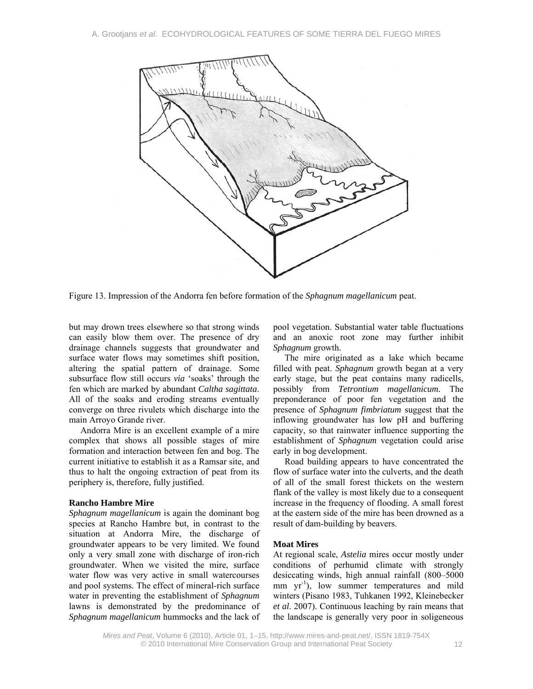

Figure 13. Impression of the Andorra fen before formation of the *Sphagnum magellanicum* peat.

but may drown trees elsewhere so that strong winds can easily blow them over. The presence of dry drainage channels suggests that groundwater and surface water flows may sometimes shift position, altering the spatial pattern of drainage. Some subsurface flow still occurs *via* 'soaks' through the fen which are marked by abundant *Caltha sagittata*. All of the soaks and eroding streams eventually converge on three rivulets which discharge into the main Arroyo Grande river.

Andorra Mire is an excellent example of a mire complex that shows all possible stages of mire formation and interaction between fen and bog. The current initiative to establish it as a Ramsar site, and thus to halt the ongoing extraction of peat from its periphery is, therefore, fully justified.

#### **Rancho Hambre Mire**

*Sphagnum magellanicum* is again the dominant bog species at Rancho Hambre but, in contrast to the situation at Andorra Mire, the discharge of groundwater appears to be very limited. We found only a very small zone with discharge of iron-rich groundwater. When we visited the mire, surface water flow was very active in small watercourses and pool systems. The effect of mineral-rich surface water in preventing the establishment of *Sphagnum*  lawns is demonstrated by the predominance of *Sphagnum magellanicum* hummocks and the lack of pool vegetation. Substantial water table fluctuations and an anoxic root zone may further inhibit *Sphagnum* growth.

The mire originated as a lake which became filled with peat. *Sphagnum* growth began at a very early stage, but the peat contains many radicells, possibly from *Tetrontium magellanicum.* The preponderance of poor fen vegetation and the presence of *Sphagnum fimbriatum* suggest that the inflowing groundwater has low pH and buffering capacity, so that rainwater influence supporting the establishment of *Sphagnum* vegetation could arise early in bog development.

Road building appears to have concentrated the flow of surface water into the culverts, and the death of all of the small forest thickets on the western flank of the valley is most likely due to a consequent increase in the frequency of flooding. A small forest at the eastern side of the mire has been drowned as a result of dam-building by beavers.

#### **Moat Mires**

At regional scale, *Astelia* mires occur mostly under conditions of perhumid climate with strongly desiccating winds, high annual rainfall (800–5000 mm  $yr^{-1}$ ), low summer temperatures and mild winters (Pisano 1983, Tuhkanen 1992, Kleinebecker *et al*. 2007). Continuous leaching by rain means that the landscape is generally very poor in soligeneous

*Mires and Peat*, Volume 6 (2010), Article 01, 1–15, http://www.mires-and-peat.net/, ISSN 1819-754X © 2010 International Mire Conservation Group and International Peat Society 12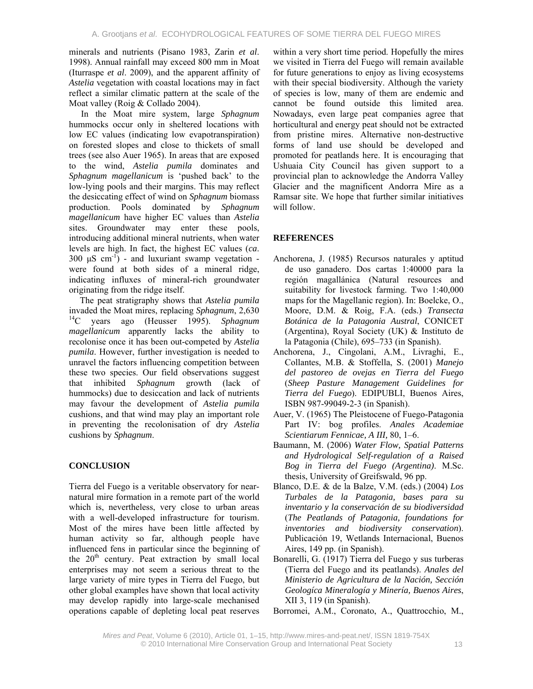minerals and nutrients (Pisano 1983, Zarin *et al*. 1998). Annual rainfall may exceed 800 mm in Moat (Iturraspe *et al*. 2009), and the apparent affinity of *Astelia* vegetation with coastal locations may in fact reflect a similar climatic pattern at the scale of the Moat valley (Roig & Collado 2004).

In the Moat mire system, large *Sphagnum* hummocks occur only in sheltered locations with low EC values (indicating low evapotranspiration) on forested slopes and close to thickets of small trees (see also Auer 1965). In areas that are exposed to the wind, *Astelia pumila* dominates and *Sphagnum magellanicum* is 'pushed back' to the low-lying pools and their margins. This may reflect the desiccating effect of wind on *Sphagnum* biomass production. Pools dominated by *Sphagnum magellanicum* have higher EC values than *Astelia*  sites. Groundwater may enter these pools, introducing additional mineral nutrients, when water levels are high. In fact, the highest EC values (*ca*. 300  $\mu$ S cm<sup>-1</sup>) - and luxuriant swamp vegetation were found at both sides of a mineral ridge, indicating influxes of mineral-rich groundwater originating from the ridge itself.

The peat stratigraphy shows that *Astelia pumila* invaded the Moat mires, replacing *Sphagnum*, 2,630 14C years ago (Heusser 1995). *Sphagnum magellanicum* apparently lacks the ability to recolonise once it has been out-competed by *Astelia pumila*. However, further investigation is needed to unravel the factors influencing competition between these two species. Our field observations suggest that inhibited *Sphagnum* growth (lack of hummocks) due to desiccation and lack of nutrients may favour the development of *Astelia pumila* cushions, and that wind may play an important role in preventing the recolonisation of dry *Astelia* cushions by *Sphagnum*.

# **CONCLUSION**

Tierra del Fuego is a veritable observatory for nearnatural mire formation in a remote part of the world which is, nevertheless, very close to urban areas with a well-developed infrastructure for tourism. Most of the mires have been little affected by human activity so far, although people have influenced fens in particular since the beginning of the  $20<sup>th</sup>$  century. Peat extraction by small local enterprises may not seem a serious threat to the large variety of mire types in Tierra del Fuego, but other global examples have shown that local activity may develop rapidly into large-scale mechanised operations capable of depleting local peat reserves

within a very short time period. Hopefully the mires we visited in Tierra del Fuego will remain available for future generations to enjoy as living ecosystems with their special biodiversity. Although the variety of species is low, many of them are endemic and cannot be found outside this limited area. Nowadays, even large peat companies agree that horticultural and energy peat should not be extracted from pristine mires. Alternative non-destructive forms of land use should be developed and promoted for peatlands here. It is encouraging that Ushuaia City Council has given support to a provincial plan to acknowledge the Andorra Valley Glacier and the magnificent Andorra Mire as a Ramsar site. We hope that further similar initiatives will follow.

# **REFERENCES**

- Anchorena, J. (1985) Recursos naturales y aptitud de uso ganadero. Dos cartas 1:40000 para la región magallánica (Natural resources and suitability for livestock farming. Two 1:40,000 maps for the Magellanic region). In: Boelcke, O., Moore, D.M. & Roig, F.A. (eds.) *Transecta Botánica de la Patagonia Austral*, CONICET (Argentina), Royal Society (UK) & Instituto de la Patagonia (Chile), 695–733 (in Spanish).
- Anchorena, J., Cingolani, A.M., Livraghi, E., Collantes, M.B. & Stoffella, S. (2001) *Manejo del pastoreo de ovejas en Tierra del Fuego* (*Sheep Pasture Management Guidelines for Tierra del Fuego*). EDIPUBLI, Buenos Aires, ISBN 987-99049-2-3 (in Spanish).
- Auer, V. (1965) The Pleistocene of Fuego-Patagonia Part IV: bog profiles. *Anales Academiae Scientiarum Fennicae, A III,* 80, 1–6.
- Baumann, M. (2006) *Water Flow, Spatial Patterns and Hydrological Self-regulation of a Raised Bog in Tierra del Fuego (Argentina)*. M.Sc. thesis, University of Greifswald, 96 pp.
- Blanco, D.E. & de la Balze, V.M. (eds.) (2004) *Los Turbales de la Patagonia, bases para su inventario y la conservación de su biodiversidad* (*The Peatlands of Patagonia, foundations for inventories and biodiversity conservation*). Publicación 19, Wetlands Internacional, Buenos Aires, 149 pp. (in Spanish).
- Bonarelli, G. (1917) Tierra del Fuego y sus turberas (Tierra del Fuego and its peatlands). *Anales del Ministerio de Agricultura de la Nación, Sección Geologíca Mineralogía y Minería, Buenos Aires*, XII 3, 119 (in Spanish).
- Borromei, A.M., Coronato, A., Quattrocchio, M.,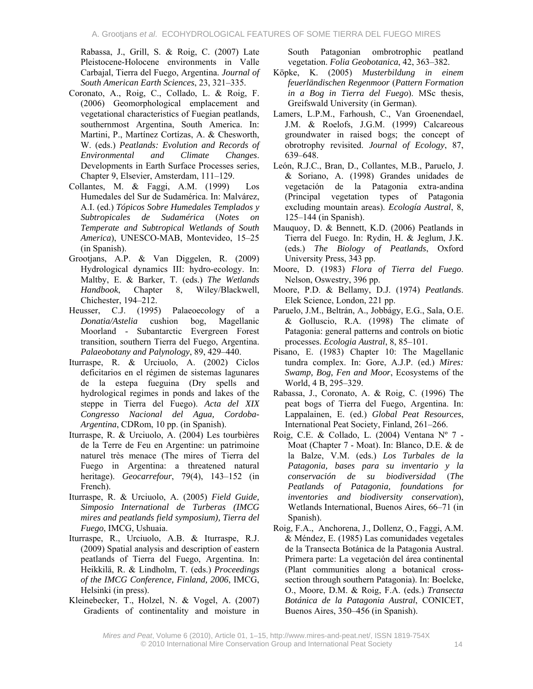Rabassa, J., Grill, S. & Roig, C. (2007) Late Pleistocene-Holocene environments in Valle Carbajal, Tierra del Fuego, Argentina. *Journal of South American Earth Sciences*, 23, 321–335.

- Coronato, A., Roig, C., Collado, L. & Roig, F. (2006) Geomorphological emplacement and vegetational characteristics of Fuegian peatlands, southernmost Argentina, South America. In: Martini, P., Martínez Cortízas, A. & Chesworth, W. (eds.) *Peatlands: Evolution and Records of Environmental and Climate Changes*. Developments in Earth Surface Processes series, Chapter 9, Elsevier, Amsterdam, 111–129.
- Collantes, M. & Faggi, A.M. (1999) Los Humedales del Sur de Sudamérica. In: Malvárez, A.I. (ed.) *Tópicos Sobre Humedales Templados y Subtropicales de Sudamérica* (*Notes on Temperate and Subtropical Wetlands of South America*), UNESCO-MAB, Montevideo, 15–25 (in Spanish).
- Grootjans, A.P. & Van Diggelen, R. (2009) Hydrological dynamics III: hydro-ecology. In: Maltby, E. & Barker, T. (eds.) *The Wetlands Handbook*, Chapter 8, Wiley/Blackwell, Chichester, 194–212.
- Heusser, C.J. (1995) Palaeoecology of a *Donatia/Astelia* cushion bog, Magellanic Moorland - Subantarctic Evergreen Forest transition, southern Tierra del Fuego, Argentina. *Palaeobotany and Palynology*, 89, 429–440.
- Iturraspe, R. & Urciuolo, A. (2002) Ciclos deficitarios en el régimen de sistemas lagunares de la estepa fueguina (Dry spells and hydrological regimes in ponds and lakes of the steppe in Tierra del Fuego). *Acta del XIX Congresso Nacional del Agua, Cordoba-Argentina*, CDRom, 10 pp. (in Spanish).
- Iturraspe, R. & Urciuolo, A. (2004) Les tourbières de la Terre de Feu en Argentine: un patrimoine naturel très menace (The mires of Tierra del Fuego in Argentina: a threatened natural heritage). *Geocarrefour*, 79(4), 143–152 (in French).
- Iturraspe, R. & Urciuolo, A. (2005) *Field Guide, Simposio International de Turberas (IMCG mires and peatlands field symposium), Tierra del Fuego*, IMCG, Ushuaia.
- Iturraspe, R., Urciuolo, A.B. & Iturraspe, R.J. (2009) Spatial analysis and description of eastern peatlands of Tierra del Fuego, Argentina. In: Heikkilä, R. & Lindholm, T. (eds.) *Proceedings of the IMCG Conference, Finland, 2006*, IMCG, Helsinki (in press).
- Kleinebecker, T., Holzel, N. & Vogel, A. (2007) Gradients of continentality and moisture in

South Patagonian ombrotrophic peatland vegetation. *Folia Geobotanica*, 42, 363–382.

- Köpke, K. (2005) *Musterbildung in einem feuerländischen Regenmoor* (*Pattern Formation in a Bog in Tierra del Fuego*). MSc thesis, Greifswald University (in German).
- Lamers, L.P.M., Farhoush, C., Van Groenendael, J.M. & Roelofs, J.G.M. (1999) Calcareous groundwater in raised bogs; the concept of obrotrophy revisited. *Journal of Ecology*, 87, 639–648.
- León, R.J.C., Bran, D., Collantes, M.B., Paruelo, J. & Soriano, A. (1998) Grandes unidades de vegetación de la Patagonia extra-andina (Principal vegetation types of Patagonia excluding mountain areas). *Ecología Austral*, 8, 125–144 (in Spanish).
- Mauquoy, D. & Bennett, K.D. (2006) Peatlands in Tierra del Fuego. In: Rydin, H. & Jeglum, J.K. (eds.) *The Biology of Peatlands*, Oxford University Press, 343 pp.
- Moore, D. (1983) *Flora of Tierra del Fuego*. Nelson, Oswestry, 396 pp.
- Moore, P.D. & Bellamy, D.J. (1974) *Peatlands*. Elek Science, London, 221 pp.
- Paruelo, J.M., Beltrán, A., Jobbágy, E.G., Sala, O.E. & Golluscio, R.A. (1998) The climate of Patagonia: general patterns and controls on biotic processes. *Ecologia Austral*, 8, 85–101.
- Pisano, E. (1983) Chapter 10: The Magellanic tundra complex. In: Gore, A.J.P. (ed.) *Mires: Swamp, Bog, Fen and Moor*, Ecosystems of the World, 4 B, 295–329.
- Rabassa, J., Coronato, A. & Roig, C. (1996) The peat bogs of Tierra del Fuego, Argentina. In: Lappalainen, E. (ed.) *Global Peat Resources*, International Peat Society, Finland, 261–266.
- Roig, C.E. & Collado, L. (2004) Ventana Nº 7 Moat (Chapter 7 - Moat). In: Blanco, D.E. & de la Balze, V.M. (eds.) *Los Turbales de la Patagonia, bases para su inventario y la conservación de su biodiversidad* (*The Peatlands of Patagonia, foundations for inventories and biodiversity conservation*), Wetlands International, Buenos Aires, 66–71 (in Spanish).
- Roig, F.A., Anchorena, J., Dollenz, O., Faggi, A.M. & Méndez, E. (1985) Las comunidades vegetales de la Transecta Botánica de la Patagonia Austral. Primera parte: La vegetación del área continental (Plant communities along a botanical crosssection through southern Patagonia). In: Boelcke, O., Moore, D.M. & Roig, F.A. (eds.) *Transecta Botánica de la Patagonia Austral*, CONICET, Buenos Aires, 350–456 (in Spanish).